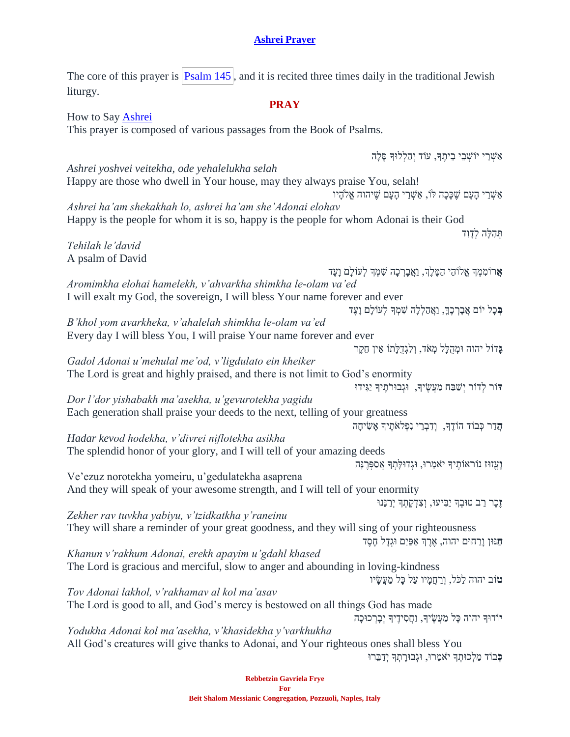## **[Ashrei Prayer](https://soundcloud.com/user-114005263/ashrei-how-to-say-this-jewish-prayer)**

The core of this prayer is  $\sqrt{\frac{P_{\text{Salm}}}{145}}$ , and it is recited three times daily in the traditional Jewish liturgy.

## **PRAY**

How to Say [Ashrei](https://soundcloud.com/user-114005263/ashrei-how-to-say-this-jewish-prayer) This prayer is composed of various passages from the Book of Psalms. אַשָּׁרֵי יוֹשָׁבֵי בֵיתֵךּ, עוֹד יִהַלְלוּךְ סֵלַה *Ashrei yoshvei veitekha, ode yehalelukha selah* Happy are those who dwell in Your house, may they always praise You, selah! אַ שֶׁרֵי הַעֲם שֶׁכַּכָה לֹו, אַשְׁרֵי הַעֲם שֵׁיהוה אֱלֹהֵיו *Ashrei ha'am shekakhah lo, ashrei ha'am she'Adonai elohav* Happy is the people for whom it is so, happy is the people for whom Adonai is their God תְּהָלֵה לְדַוִד *Tehilah le'david* A psalm of David **אֵר**וֹמְמְךָ אֱלֹוֹהֵי הַמֵּלֵךְ, וַאֲבַרְכָה שִׁמְךָ לְעוֹלַם וַעֲד *Aromimkha elohai hamelekh, v'ahvarkha shimkha le-olam va'ed* I will exalt my God, the sovereign, I will bless Your name forever and ever בִּכַל יוֹם אֲבַרִכְךָ, וַאֲהַלְלָה שִׁמְּדָּ לְעוֹלָם וָעֶד *B'khol yom avarkheka, v'ahalelah shimkha le-olam va'ed* Every day I will bless You, I will praise Your name forever and ever **ג ֲ**דֹול יהוה ּומְׁ הֻּל ל מְׁ אֹד, וְׁ לִגְׁ דֻּל תֹו אֵ ין חֵקֶר *Gadol Adonai u'mehulal me'od, v'ligdulato ein kheiker* The Lord is great and highly praised, and there is not limit to God's enormity **ּד**ֹור לְׁדֹור יְׁשַ בַח מַ עֲשֶ יָך, ּוגְׁ בּורֹתֶ יָך יַגִ ידּו *Dor l'dor yishabakh ma'asekha, u'gevurotekha yagidu* Each generation shall praise your deeds to the next, telling of your greatness **הֲ**דַר כְּבוֹד הוֹדֵךְ, וְדָבְרֵי נִפְלֹאֹתֵיךְ אֲשָׂיחַה *Hadar kevod hodekha, v'divrei niflotekha asikha* The splendid honor of your glory, and I will tell of your amazing deeds **וְעֵזוּז נוֹראוֹתֵיךְ יֹאמֵרוּ, וּגְדוּלַתְךְ אֲסַפְּרֵנַּה** Ve'ezuz norotekha yomeiru, u'gedulatekha asaprena And they will speak of your awesome strength, and I will tell of your enormity **ז ֲ**כֶר רַ ב טּובְׁ ָך יַבִ יעּו, וְׁ צִ דְׁ ק תְׁ ָך יְׁרַ נֵנּו *Zekher rav tuvkha yabiyu, v'tzidkatkha y'raneinu* They will share a reminder of your great goodness, and they will sing of your righteousness **ח ֲ**נּון ו רַ חּום יהוה, אֶ רֶ ְך אַ פַיִם ּוגְׁד ל ח סֶ ד *Khanun v'rakhum Adonai, erekh apayim u'gdahl khased* The Lord is gracious and merciful, slow to anger and abounding in loving-kindness **ט**ֹוב יהוה לכל, ורחמיו על כל מעשׂיו *Tov Adonai lakhol, v'rakhamav al kol ma'asav* The Lord is good to all, and God's mercy is bestowed on all things God has made יוֹדוּךְ יהוה כָּל מַעֲשֶׂיךָ, וַחֲסִידֶיךָ יְבָרְכוּכָה *Yodukha Adonai kol ma'asekha, v'khasidekha y'varkhukha* All God's creatures will give thanks to Adonai, and Your righteous ones shall bless You **ּכְּבוֹד מַלְכוּתְךְ יֹאמֵרוּ, וּגְבוּרָתְךְ יְדַבֵּרוּ**